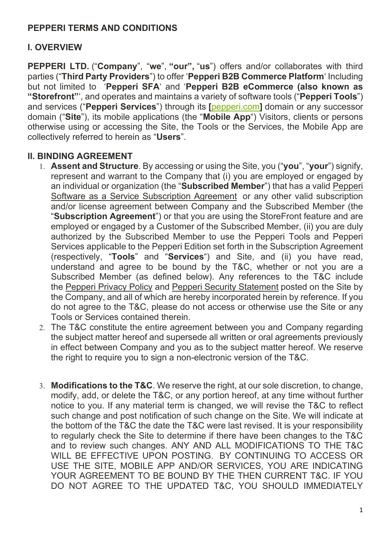# **PEPPERI TERMS AND CONDITIONS**

### **I. OVERVIEW**

**PEPPERI LTD.** ("**Company**", "**we**", **"our",** "**us**") offers and/or collaborates with third parties ("**Third Party Providers**") to offer '**Pepperi B2B Commerce Platform**' Including but not limited to '**Pepperi SFA**' and '**Pepperi B2B eCommerce (also known as "Storefront"**', and operates and maintains a variety of software tools ("**Pepperi Tools**") and services ("**Pepperi Services**") through its **[**[pepperi.com](https://eur01.safelinks.protection.outlook.com/?url=http%3A%2F%2Fwww.pepperi.com%2F&data=05%7C01%7CDaphna.t%40pepperi.com%7C5f483f850d944b25b6dc08da3bd95852%7C2f2b54b701414ba78fcdab7d17a60547%7C0%7C0%7C637888101924625403%7CUnknown%7CTWFpbGZsb3d8eyJWIjoiMC4wLjAwMDAiLCJQIjoiV2luMzIiLCJBTiI6Ik1haWwiLCJXVCI6Mn0%3D%7C3000%7C%7C%7C&sdata=0LGV8A83vcDDfkGTOtlVIcy5NuExF5sZz8PWRJr%2F9xQ%3D&reserved=0)**]** domain or any successor domain ("**Site**"), its mobile applications (the "**Mobile App**") Visitors, clients or persons otherwise using or accessing the Site, the Tools or the Services, the Mobile App are collectively referred to herein as "**Users**".

#### **II. BINDING AGREEMENT**

- 1. **Assent and Structure**. By accessing or using the Site, you ("**you**", "**your**") signify, represent and warrant to the Company that (i) you are employed or engaged by an individual or organization (the "**Subscribed Member**") that has a valid Pepperi Software as a Service Subscription Agreement or any other valid subscription and/or license agreement between Company and the Subscribed Member (the "**Subscription Agreement**") or that you are using the StoreFront feature and are employed or engaged by a Customer of the Subscribed Member, (ii) you are duly authorized by the Subscribed Member to use the Pepperi Tools and Pepperi Services applicable to the Pepperi Edition set forth in the Subscription Agreement (respectively, "**Tools**" and "**Services**") and Site, and (ii) you have read, understand and agree to be bound by the T&C, whether or not you are a Subscribed Member (as defined below). Any references to the T&C include the Pepperi Privacy Policy and Pepperi Security Statement posted on the Site by the Company, and all of which are hereby incorporated herein by reference. If you do not agree to the T&C, please do not access or otherwise use the Site or any Tools or Services contained therein.
- 2. The T&C constitute the entire agreement between you and Company regarding the subject matter hereof and supersede all written or oral agreements previously in effect between Company and you as to the subject matter hereof. We reserve the right to require you to sign a non-electronic version of the T&C.
- 3. **Modifications to the T&C**. We reserve the right, at our sole discretion, to change, modify, add, or delete the T&C, or any portion hereof, at any time without further notice to you. If any material term is changed, we will revise the T&C to reflect such change and post notification of such change on the Site. We will indicate at the bottom of the T&C the date the T&C were last revised. It is your responsibility to regularly check the Site to determine if there have been changes to the T&C and to review such changes. ANY AND ALL MODIFICATIONS TO THE T&C WILL BE EFFECTIVE UPON POSTING. BY CONTINUING TO ACCESS OR USE THE SITE, MOBILE APP AND/OR SERVICES, YOU ARE INDICATING YOUR AGREEMENT TO BE BOUND BY THE THEN CURRENT T&C. IF YOU DO NOT AGREE TO THE UPDATED T&C, YOU SHOULD IMMEDIATELY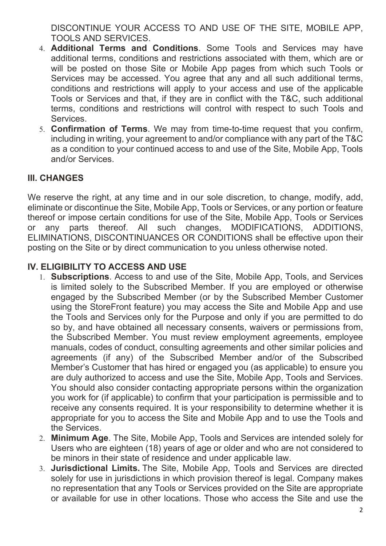DISCONTINUE YOUR ACCESS TO AND USE OF THE SITE, MOBILE APP, TOOLS AND SERVICES.

- 4. **Additional Terms and Conditions**. Some Tools and Services may have additional terms, conditions and restrictions associated with them, which are or will be posted on those Site or Mobile App pages from which such Tools or Services may be accessed. You agree that any and all such additional terms, conditions and restrictions will apply to your access and use of the applicable Tools or Services and that, if they are in conflict with the T&C, such additional terms, conditions and restrictions will control with respect to such Tools and **Services**
- 5. **Confirmation of Terms**. We may from time-to-time request that you confirm, including in writing, your agreement to and/or compliance with any part of the T&C as a condition to your continued access to and use of the Site, Mobile App, Tools and/or Services.

## **III. CHANGES**

We reserve the right, at any time and in our sole discretion, to change, modify, add, eliminate or discontinue the Site, Mobile App, Tools or Services, or any portion or feature thereof or impose certain conditions for use of the Site, Mobile App, Tools or Services or any parts thereof. All such changes, MODIFICATIONS, ADDITIONS, ELIMINATIONS, DISCONTINUANCES OR CONDITIONS shall be effective upon their posting on the Site or by direct communication to you unless otherwise noted.

#### **IV. ELIGIBILITY TO ACCESS AND USE**

- 1. **Subscriptions**. Access to and use of the Site, Mobile App, Tools, and Services is limited solely to the Subscribed Member. If you are employed or otherwise engaged by the Subscribed Member (or by the Subscribed Member Customer using the StoreFront feature) you may access the Site and Mobile App and use the Tools and Services only for the Purpose and only if you are permitted to do so by, and have obtained all necessary consents, waivers or permissions from, the Subscribed Member. You must review employment agreements, employee manuals, codes of conduct, consulting agreements and other similar policies and agreements (if any) of the Subscribed Member and/or of the Subscribed Member's Customer that has hired or engaged you (as applicable) to ensure you are duly authorized to access and use the Site, Mobile App, Tools and Services. You should also consider contacting appropriate persons within the organization you work for (if applicable) to confirm that your participation is permissible and to receive any consents required. It is your responsibility to determine whether it is appropriate for you to access the Site and Mobile App and to use the Tools and the Services.
- 2. **Minimum Age**. The Site, Mobile App, Tools and Services are intended solely for Users who are eighteen (18) years of age or older and who are not considered to be minors in their state of residence and under applicable law.
- 3. **Jurisdictional Limits.** The Site, Mobile App, Tools and Services are directed solely for use in jurisdictions in which provision thereof is legal. Company makes no representation that any Tools or Services provided on the Site are appropriate or available for use in other locations. Those who access the Site and use the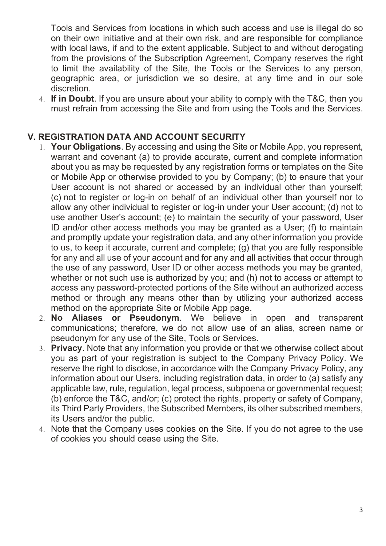Tools and Services from locations in which such access and use is illegal do so on their own initiative and at their own risk, and are responsible for compliance with local laws, if and to the extent applicable. Subject to and without derogating from the provisions of the Subscription Agreement, Company reserves the right to limit the availability of the Site, the Tools or the Services to any person, geographic area, or jurisdiction we so desire, at any time and in our sole discretion.

4. **If in Doubt**. If you are unsure about your ability to comply with the T&C, then you must refrain from accessing the Site and from using the Tools and the Services.

# **V. REGISTRATION DATA AND ACCOUNT SECURITY**

- 1. **Your Obligations**. By accessing and using the Site or Mobile App, you represent, warrant and covenant (a) to provide accurate, current and complete information about you as may be requested by any registration forms or templates on the Site or Mobile App or otherwise provided to you by Company; (b) to ensure that your User account is not shared or accessed by an individual other than yourself; (c) not to register or log-in on behalf of an individual other than yourself nor to allow any other individual to register or log-in under your User account; (d) not to use another User's account; (e) to maintain the security of your password, User ID and/or other access methods you may be granted as a User; (f) to maintain and promptly update your registration data, and any other information you provide to us, to keep it accurate, current and complete; (g) that you are fully responsible for any and all use of your account and for any and all activities that occur through the use of any password, User ID or other access methods you may be granted, whether or not such use is authorized by you; and (h) not to access or attempt to access any password-protected portions of the Site without an authorized access method or through any means other than by utilizing your authorized access method on the appropriate Site or Mobile App page.
- 2. **No Aliases or Pseudonym**. We believe in open and transparent communications; therefore, we do not allow use of an alias, screen name or pseudonym for any use of the Site, Tools or Services.
- 3. **Privacy**. Note that any information you provide or that we otherwise collect about you as part of your registration is subject to the Company Privacy Policy. We reserve the right to disclose, in accordance with the Company Privacy Policy, any information about our Users, including registration data, in order to (a) satisfy any applicable law, rule, regulation, legal process, subpoena or governmental request; (b) enforce the T&C, and/or; (c) protect the rights, property or safety of Company, its Third Party Providers, the Subscribed Members, its other subscribed members, its Users and/or the public.
- 4. Note that the Company uses cookies on the Site. If you do not agree to the use of cookies you should cease using the Site.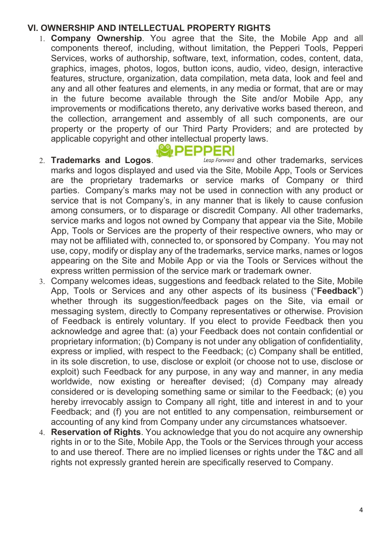#### **VI. OWNERSHIP AND INTELLECTUAL PROPERTY RIGHTS**

1. **Company Ownership**. You agree that the Site, the Mobile App and all components thereof, including, without limitation, the Pepperi Tools, Pepperi Services, works of authorship, software, text, information, codes, content, data, graphics, images, photos, logos, button icons, audio, video, design, interactive features, structure, organization, data compilation, meta data, look and feel and any and all other features and elements, in any media or format, that are or may in the future become available through the Site and/or Mobile App, any improvements or modifications thereto, any derivative works based thereon, and the collection, arrangement and assembly of all such components, are our property or the property of our Third Party Providers; and are protected by applicable copyright and other intellectual property laws.

# **W, DEDDERI**

- 2. **Trademarks and Logos.** *Leap Forward* and other trademarks, services marks and logos displayed and used via the Site, Mobile App, Tools or Services are the proprietary trademarks or service marks of Company or third parties. Company's marks may not be used in connection with any product or service that is not Company's, in any manner that is likely to cause confusion among consumers, or to disparage or discredit Company. All other trademarks, service marks and logos not owned by Company that appear via the Site, Mobile App, Tools or Services are the property of their respective owners, who may or may not be affiliated with, connected to, or sponsored by Company. You may not use, copy, modify or display any of the trademarks, service marks, names or logos appearing on the Site and Mobile App or via the Tools or Services without the express written permission of the service mark or trademark owner.
- 3. Company welcomes ideas, suggestions and feedback related to the Site, Mobile App, Tools or Services and any other aspects of its business ("**Feedback**") whether through its suggestion/feedback pages on the Site, via email or messaging system, directly to Company representatives or otherwise. Provision of Feedback is entirely voluntary. If you elect to provide Feedback then you acknowledge and agree that: (a) your Feedback does not contain confidential or proprietary information; (b) Company is not under any obligation of confidentiality, express or implied, with respect to the Feedback; (c) Company shall be entitled, in its sole discretion, to use, disclose or exploit (or choose not to use, disclose or exploit) such Feedback for any purpose, in any way and manner, in any media worldwide, now existing or hereafter devised; (d) Company may already considered or is developing something same or similar to the Feedback; (e) you hereby irrevocably assign to Company all right, title and interest in and to your Feedback; and (f) you are not entitled to any compensation, reimbursement or accounting of any kind from Company under any circumstances whatsoever.
- 4. **Reservation of Rights**. You acknowledge that you do not acquire any ownership rights in or to the Site, Mobile App, the Tools or the Services through your access to and use thereof. There are no implied licenses or rights under the T&C and all rights not expressly granted herein are specifically reserved to Company.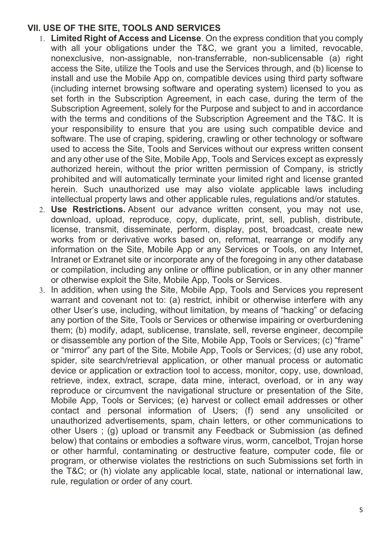#### **VII. USE OF THE SITE, TOOLS AND SERVICES**

- 1. **Limited Right of Access and License**. On the express condition that you comply with all your obligations under the T&C, we grant you a limited, revocable, nonexclusive, non-assignable, non-transferrable, non-sublicensable (a) right access the Site, utilize the Tools and use the Services through, and (b) license to install and use the Mobile App on, compatible devices using third party software (including internet browsing software and operating system) licensed to you as set forth in the Subscription Agreement, in each case, during the term of the Subscription Agreement, solely for the Purpose and subject to and in accordance with the terms and conditions of the Subscription Agreement and the T&C. It is your responsibility to ensure that you are using such compatible device and software. The use of craping, spidering, crawling or other technology or software used to access the Site, Tools and Services without our express written consent and any other use of the Site, Mobile App, Tools and Services except as expressly authorized herein, without the prior written permission of Company, is strictly prohibited and will automatically terminate your limited right and license granted herein. Such unauthorized use may also violate applicable laws including intellectual property laws and other applicable rules, regulations and/or statutes.
- 2. **Use Restrictions.** Absent our advance written consent, you may not use, download, upload, reproduce, copy, duplicate, print, sell, publish, distribute, license, transmit, disseminate, perform, display, post, broadcast, create new works from or derivative works based on, reformat, rearrange or modify any information on the Site, Mobile App or any Services or Tools, on any Internet, Intranet or Extranet site or incorporate any of the foregoing in any other database or compilation, including any online or offline publication, or in any other manner or otherwise exploit the Site, Mobile App, Tools or Services.
- 3. In addition, when using the Site, Mobile App, Tools and Services you represent warrant and covenant not to: (a) restrict, inhibit or otherwise interfere with any other User's use, including, without limitation, by means of "hacking" or defacing any portion of the Site, Tools or Services or otherwise impairing or overburdening them; (b) modify, adapt, sublicense, translate, sell, reverse engineer, decompile or disassemble any portion of the Site, Mobile App, Tools or Services; (c) "frame" or "mirror" any part of the Site, Mobile App, Tools or Services; (d) use any robot, spider, site search/retrieval application, or other manual process or automatic device or application or extraction tool to access, monitor, copy, use, download, retrieve, index, extract, scrape, data mine, interact, overload, or in any way reproduce or circumvent the navigational structure or presentation of the Site, Mobile App, Tools or Services; (e) harvest or collect email addresses or other contact and personal information of Users; (f) send any unsolicited or unauthorized advertisements, spam, chain letters, or other communications to other Users ; (g) upload or transmit any Feedback or Submission (as defined below) that contains or embodies a software virus, worm, cancelbot, Trojan horse or other harmful, contaminating or destructive feature, computer code, file or program, or otherwise violates the restrictions on such Submissions set forth in the T&C; or (h) violate any applicable local, state, national or international law, rule, regulation or order of any court.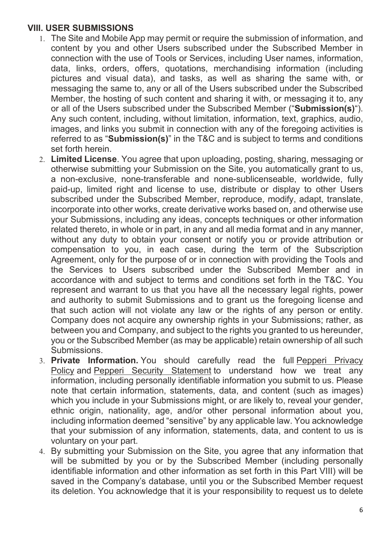#### **VIII. USER SUBMISSIONS**

- 1. The Site and Mobile App may permit or require the submission of information, and content by you and other Users subscribed under the Subscribed Member in connection with the use of Tools or Services, including User names, information, data, links, orders, offers, quotations, merchandising information (including pictures and visual data), and tasks, as well as sharing the same with, or messaging the same to, any or all of the Users subscribed under the Subscribed Member, the hosting of such content and sharing it with, or messaging it to, any or all of the Users subscribed under the Subscribed Member ("**Submission(s)**"). Any such content, including, without limitation, information, text, graphics, audio, images, and links you submit in connection with any of the foregoing activities is referred to as "**Submission(s)**" in the T&C and is subject to terms and conditions set forth herein.
- 2. **Limited License**. You agree that upon uploading, posting, sharing, messaging or otherwise submitting your Submission on the Site, you automatically grant to us, a non-exclusive, none-transferable and none-sublicenseable, worldwide, fully paid-up, limited right and license to use, distribute or display to other Users subscribed under the Subscribed Member, reproduce, modify, adapt, translate, incorporate into other works, create derivative works based on, and otherwise use your Submissions, including any ideas, concepts techniques or other information related thereto, in whole or in part, in any and all media format and in any manner, without any duty to obtain your consent or notify you or provide attribution or compensation to you, in each case, during the term of the Subscription Agreement, only for the purpose of or in connection with providing the Tools and the Services to Users subscribed under the Subscribed Member and in accordance with and subject to terms and conditions set forth in the T&C. You represent and warrant to us that you have all the necessary legal rights, power and authority to submit Submissions and to grant us the foregoing license and that such action will not violate any law or the rights of any person or entity. Company does not acquire any ownership rights in your Submissions; rather, as between you and Company, and subject to the rights you granted to us hereunder, you or the Subscribed Member (as may be applicable) retain ownership of all such Submissions.
- 3. **Private Information.** You should carefully read the full Pepperi Privacy Policy and Pepperi Security Statement to understand how we treat any information, including personally identifiable information you submit to us. Please note that certain information, statements, data, and content (such as images) which you include in your Submissions might, or are likely to, reveal your gender, ethnic origin, nationality, age, and/or other personal information about you, including information deemed "sensitive" by any applicable law. You acknowledge that your submission of any information, statements, data, and content to us is voluntary on your part.
- 4. By submitting your Submission on the Site, you agree that any information that will be submitted by you or by the Subscribed Member (including personally identifiable information and other information as set forth in this Part VIII) will be saved in the Company's database, until you or the Subscribed Member request its deletion. You acknowledge that it is your responsibility to request us to delete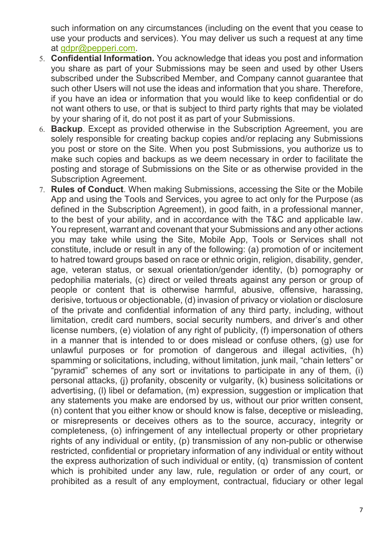such information on any circumstances (including on the event that you cease to use your products and services). You may deliver us such a request at any time at [gdpr@pepperi.com.](mailto:gdpr@pepperi.com)

- 5. **Confidential Information.** You acknowledge that ideas you post and information you share as part of your Submissions may be seen and used by other Users subscribed under the Subscribed Member, and Company cannot guarantee that such other Users will not use the ideas and information that you share. Therefore, if you have an idea or information that you would like to keep confidential or do not want others to use, or that is subject to third party rights that may be violated by your sharing of it, do not post it as part of your Submissions.
- 6. **Backup**. Except as provided otherwise in the Subscription Agreement, you are solely responsible for creating backup copies and/or replacing any Submissions you post or store on the Site. When you post Submissions, you authorize us to make such copies and backups as we deem necessary in order to facilitate the posting and storage of Submissions on the Site or as otherwise provided in the Subscription Agreement.
- 7. **Rules of Conduct**. When making Submissions, accessing the Site or the Mobile App and using the Tools and Services, you agree to act only for the Purpose (as defined in the Subscription Agreement), in good faith, in a professional manner, to the best of your ability, and in accordance with the T&C and applicable law. You represent, warrant and covenant that your Submissions and any other actions you may take while using the Site, Mobile App, Tools or Services shall not constitute, include or result in any of the following: (a) promotion of or incitement to hatred toward groups based on race or ethnic origin, religion, disability, gender, age, veteran status, or sexual orientation/gender identity, (b) pornography or pedophilia materials, (c) direct or veiled threats against any person or group of people or content that is otherwise harmful, abusive, offensive, harassing, derisive, tortuous or objectionable, (d) invasion of privacy or violation or disclosure of the private and confidential information of any third party, including, without limitation, credit card numbers, social security numbers, and driver's and other license numbers, (e) violation of any right of publicity, (f) impersonation of others in a manner that is intended to or does mislead or confuse others, (g) use for unlawful purposes or for promotion of dangerous and illegal activities, (h) spamming or solicitations, including, without limitation, junk mail, "chain letters" or "pyramid" schemes of any sort or invitations to participate in any of them, (i) personal attacks, (j) profanity, obscenity or vulgarity, (k) business solicitations or advertising, (l) libel or defamation, (m) expression, suggestion or implication that any statements you make are endorsed by us, without our prior written consent, (n) content that you either know or should know is false, deceptive or misleading, or misrepresents or deceives others as to the source, accuracy, integrity or completeness, (o) infringement of any intellectual property or other proprietary rights of any individual or entity, (p) transmission of any non-public or otherwise restricted, confidential or proprietary information of any individual or entity without the express authorization of such individual or entity, (q) transmission of content which is prohibited under any law, rule, regulation or order of any court, or prohibited as a result of any employment, contractual, fiduciary or other legal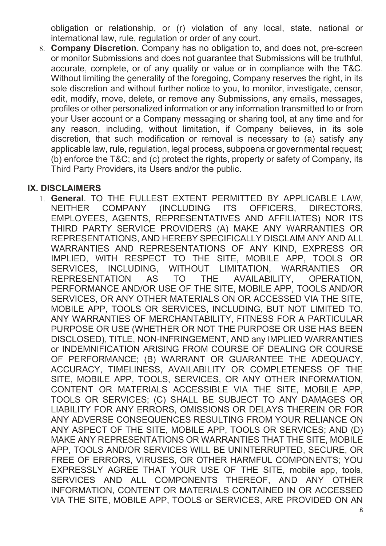obligation or relationship, or (r) violation of any local, state, national or international law, rule, regulation or order of any court.

8. **Company Discretion**. Company has no obligation to, and does not, pre-screen or monitor Submissions and does not guarantee that Submissions will be truthful, accurate, complete, or of any quality or value or in compliance with the T&C. Without limiting the generality of the foregoing, Company reserves the right, in its sole discretion and without further notice to you, to monitor, investigate, censor, edit, modify, move, delete, or remove any Submissions, any emails, messages, profiles or other personalized information or any information transmitted to or from your User account or a Company messaging or sharing tool, at any time and for any reason, including, without limitation, if Company believes, in its sole discretion, that such modification or removal is necessary to (a) satisfy any applicable law, rule, regulation, legal process, subpoena or governmental request; (b) enforce the T&C; and (c) protect the rights, property or safety of Company, its Third Party Providers, its Users and/or the public.

#### **IX. DISCLAIMERS**

1. **General**. TO THE FULLEST EXTENT PERMITTED BY APPLICABLE LAW, NEITHER COMPANY (INCLUDING ITS OFFICERS, DIRECTORS, EMPLOYEES, AGENTS, REPRESENTATIVES AND AFFILIATES) NOR ITS THIRD PARTY SERVICE PROVIDERS (A) MAKE ANY WARRANTIES OR REPRESENTATIONS, AND HEREBY SPECIFICALLY DISCLAIM ANY AND ALL WARRANTIES AND REPRESENTATIONS OF ANY KIND, EXPRESS OR IMPLIED, WITH RESPECT TO THE SITE, MOBILE APP, TOOLS OR SERVICES, INCLUDING, WITHOUT LIMITATION, WARRANTIES OR REPRESENTATION AS TO THE AVAILABILITY, OPERATION, PERFORMANCE AND/OR USE OF THE SITE, MOBILE APP, TOOLS AND/OR SERVICES, OR ANY OTHER MATERIALS ON OR ACCESSED VIA THE SITE, MOBILE APP, TOOLS OR SERVICES, INCLUDING, BUT NOT LIMITED TO, ANY WARRANTIES OF MERCHANTABILITY, FITNESS FOR A PARTICULAR PURPOSE OR USE (WHETHER OR NOT THE PURPOSE OR USE HAS BEEN DISCLOSED), TITLE, NON-INFRINGEMENT, AND any IMPLIED WARRANTIES or INDEMNIFICATION ARISING FROM COURSE OF DEALING OR COURSE OF PERFORMANCE; (B) WARRANT OR GUARANTEE THE ADEQUACY, ACCURACY, TIMELINESS, AVAILABILITY OR COMPLETENESS OF THE SITE, MOBILE APP, TOOLS, SERVICES, OR ANY OTHER INFORMATION, CONTENT OR MATERIALS ACCESSIBLE VIA THE SITE, MOBILE APP, TOOLS OR SERVICES; (C) SHALL BE SUBJECT TO ANY DAMAGES OR LIABILITY FOR ANY ERRORS, OMISSIONS OR DELAYS THEREIN OR FOR ANY ADVERSE CONSEQUENCES RESULTING FROM YOUR RELIANCE ON ANY ASPECT OF THE SITE, MOBILE APP, TOOLS OR SERVICES; AND (D) MAKE ANY REPRESENTATIONS OR WARRANTIES THAT THE SITE, MOBILE APP, TOOLS AND/OR SERVICES WILL BE UNINTERRUPTED, SECURE, OR FREE OF ERRORS, VIRUSES, OR OTHER HARMFUL COMPONENTS; YOU EXPRESSLY AGREE THAT YOUR USE OF THE SITE, mobile app, tools, SERVICES AND ALL COMPONENTS THEREOF, AND ANY OTHER INFORMATION, CONTENT OR MATERIALS CONTAINED IN OR ACCESSED VIA THE SITE, MOBILE APP, TOOLS or SERVICES, ARE PROVIDED ON AN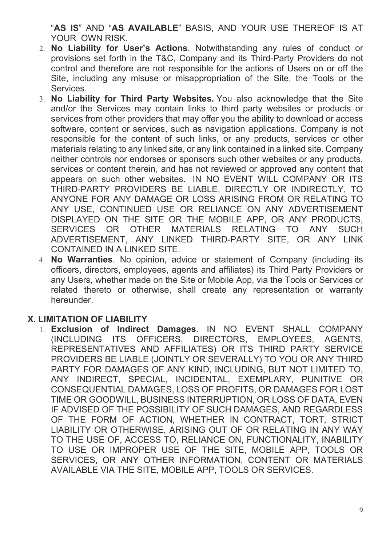"**AS IS**" AND "**AS AVAILABLE**" BASIS, AND YOUR USE THEREOF IS AT YOUR OWN RISK.

- 2. **No Liability for User's Actions**. Notwithstanding any rules of conduct or provisions set forth in the T&C, Company and its Third-Party Providers do not control and therefore are not responsible for the actions of Users on or off the Site, including any misuse or misappropriation of the Site, the Tools or the Services.
- 3. **No Liability for Third Party Websites.** You also acknowledge that the Site and/or the Services may contain links to third party websites or products or services from other providers that may offer you the ability to download or access software, content or services, such as navigation applications. Company is not responsible for the content of such links, or any products, services or other materials relating to any linked site, or any link contained in a linked site. Company neither controls nor endorses or sponsors such other websites or any products, services or content therein, and has not reviewed or approved any content that appears on such other websites. IN NO EVENT WILL COMPANY OR ITS THIRD-PARTY PROVIDERS BE LIABLE, DIRECTLY OR INDIRECTLY, TO ANYONE FOR ANY DAMAGE OR LOSS ARISING FROM OR RELATING TO ANY USE, CONTINUED USE OR RELIANCE ON ANY ADVERTISEMENT DISPLAYED ON THE SITE OR THE MOBILE APP, OR ANY PRODUCTS, SERVICES OR OTHER MATERIALS RELATING TO ANY SUCH ADVERTISEMENT, ANY LINKED THIRD-PARTY SITE, OR ANY LINK CONTAINED IN A LINKED SITE.
- 4. **No Warranties**. No opinion, advice or statement of Company (including its officers, directors, employees, agents and affiliates) its Third Party Providers or any Users, whether made on the Site or Mobile App, via the Tools or Services or related thereto or otherwise, shall create any representation or warranty hereunder.

#### **X. LIMITATION OF LIABILITY**

1. **Exclusion of Indirect Damages**. IN NO EVENT SHALL COMPANY (INCLUDING ITS OFFICERS, DIRECTORS, EMPLOYEES, AGENTS, REPRESENTATIVES AND AFFILIATES) OR ITS THIRD PARTY SERVICE PROVIDERS BE LIABLE (JOINTLY OR SEVERALLY) TO YOU OR ANY THIRD PARTY FOR DAMAGES OF ANY KIND, INCLUDING, BUT NOT LIMITED TO, ANY INDIRECT, SPECIAL, INCIDENTAL, EXEMPLARY, PUNITIVE OR CONSEQUENTIAL DAMAGES, LOSS OF PROFITS, OR DAMAGES FOR LOST TIME OR GOODWILL, BUSINESS INTERRUPTION, OR LOSS OF DATA, EVEN IF ADVISED OF THE POSSIBILITY OF SUCH DAMAGES, AND REGARDLESS OF THE FORM OF ACTION, WHETHER IN CONTRACT, TORT, STRICT LIABILITY OR OTHERWISE, ARISING OUT OF OR RELATING IN ANY WAY TO THE USE OF, ACCESS TO, RELIANCE ON, FUNCTIONALITY, INABILITY TO USE OR IMPROPER USE OF THE SITE, MOBILE APP, TOOLS OR SERVICES, OR ANY OTHER INFORMATION, CONTENT OR MATERIALS AVAILABLE VIA THE SITE, MOBILE APP, TOOLS OR SERVICES.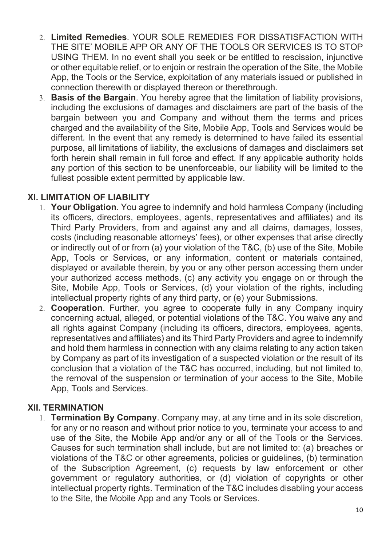- 2. **Limited Remedies**. YOUR SOLE REMEDIES FOR DISSATISFACTION WITH THE SITE' MOBILE APP OR ANY OF THE TOOLS OR SERVICES IS TO STOP USING THEM. In no event shall you seek or be entitled to rescission, injunctive or other equitable relief, or to enjoin or restrain the operation of the Site, the Mobile App, the Tools or the Service, exploitation of any materials issued or published in connection therewith or displayed thereon or therethrough.
- 3. **Basis of the Bargain**. You hereby agree that the limitation of liability provisions, including the exclusions of damages and disclaimers are part of the basis of the bargain between you and Company and without them the terms and prices charged and the availability of the Site, Mobile App, Tools and Services would be different. In the event that any remedy is determined to have failed its essential purpose, all limitations of liability, the exclusions of damages and disclaimers set forth herein shall remain in full force and effect. If any applicable authority holds any portion of this section to be unenforceable, our liability will be limited to the fullest possible extent permitted by applicable law.

#### **XI. LIMITATION OF LIABILITY**

- 1. **Your Obligation**. You agree to indemnify and hold harmless Company (including its officers, directors, employees, agents, representatives and affiliates) and its Third Party Providers, from and against any and all claims, damages, losses, costs (including reasonable attorneys' fees), or other expenses that arise directly or indirectly out of or from (a) your violation of the T&C, (b) use of the Site, Mobile App, Tools or Services, or any information, content or materials contained, displayed or available therein, by you or any other person accessing them under your authorized access methods, (c) any activity you engage on or through the Site, Mobile App, Tools or Services, (d) your violation of the rights, including intellectual property rights of any third party, or (e) your Submissions.
- 2. **Cooperation**. Further, you agree to cooperate fully in any Company inquiry concerning actual, alleged, or potential violations of the T&C. You waive any and all rights against Company (including its officers, directors, employees, agents, representatives and affiliates) and its Third Party Providers and agree to indemnify and hold them harmless in connection with any claims relating to any action taken by Company as part of its investigation of a suspected violation or the result of its conclusion that a violation of the T&C has occurred, including, but not limited to, the removal of the suspension or termination of your access to the Site, Mobile App, Tools and Services.

#### **XII. TERMINATION**

1. **Termination By Company**. Company may, at any time and in its sole discretion, for any or no reason and without prior notice to you, terminate your access to and use of the Site, the Mobile App and/or any or all of the Tools or the Services. Causes for such termination shall include, but are not limited to: (a) breaches or violations of the T&C or other agreements, policies or guidelines, (b) termination of the Subscription Agreement, (c) requests by law enforcement or other government or regulatory authorities, or (d) violation of copyrights or other intellectual property rights. Termination of the T&C includes disabling your access to the Site, the Mobile App and any Tools or Services.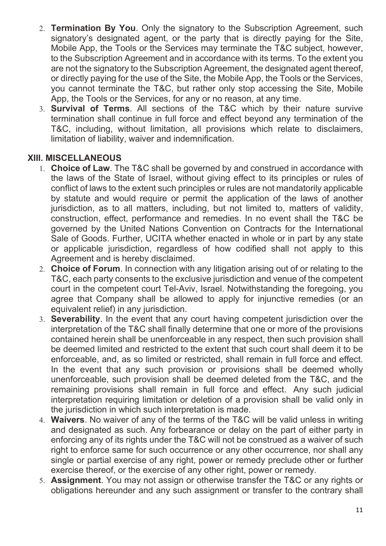- 2. **Termination By You**. Only the signatory to the Subscription Agreement, such signatory's designated agent, or the party that is directly paying for the Site, Mobile App, the Tools or the Services may terminate the T&C subject, however, to the Subscription Agreement and in accordance with its terms. To the extent you are not the signatory to the Subscription Agreement, the designated agent thereof, or directly paying for the use of the Site, the Mobile App, the Tools or the Services, you cannot terminate the T&C, but rather only stop accessing the Site, Mobile App, the Tools or the Services, for any or no reason, at any time.
- 3. **Survival of Terms**. All sections of the T&C which by their nature survive termination shall continue in full force and effect beyond any termination of the T&C, including, without limitation, all provisions which relate to disclaimers, limitation of liability, waiver and indemnification.

## **XIII. MISCELLANEOUS**

- 1. **Choice of Law**. The T&C shall be governed by and construed in accordance with the laws of the State of Israel, without giving effect to its principles or rules of conflict of laws to the extent such principles or rules are not mandatorily applicable by statute and would require or permit the application of the laws of another jurisdiction, as to all matters, including, but not limited to, matters of validity, construction, effect, performance and remedies. In no event shall the T&C be governed by the United Nations Convention on Contracts for the International Sale of Goods. Further, UCITA whether enacted in whole or in part by any state or applicable jurisdiction, regardless of how codified shall not apply to this Agreement and is hereby disclaimed.
- 2. **Choice of Forum**. In connection with any litigation arising out of or relating to the T&C, each party consents to the exclusive jurisdiction and venue of the competent court in the competent court Tel-Aviv, Israel. Notwithstanding the foregoing, you agree that Company shall be allowed to apply for injunctive remedies (or an equivalent relief) in any jurisdiction.
- 3. **Severability**. In the event that any court having competent jurisdiction over the interpretation of the T&C shall finally determine that one or more of the provisions contained herein shall be unenforceable in any respect, then such provision shall be deemed limited and restricted to the extent that such court shall deem it to be enforceable, and, as so limited or restricted, shall remain in full force and effect. In the event that any such provision or provisions shall be deemed wholly unenforceable, such provision shall be deemed deleted from the T&C, and the remaining provisions shall remain in full force and effect. Any such judicial interpretation requiring limitation or deletion of a provision shall be valid only in the jurisdiction in which such interpretation is made.
- 4. **Waivers**. No waiver of any of the terms of the T&C will be valid unless in writing and designated as such. Any forbearance or delay on the part of either party in enforcing any of its rights under the T&C will not be construed as a waiver of such right to enforce same for such occurrence or any other occurrence, nor shall any single or partial exercise of any right, power or remedy preclude other or further exercise thereof, or the exercise of any other right, power or remedy.
- 5. **Assignment**. You may not assign or otherwise transfer the T&C or any rights or obligations hereunder and any such assignment or transfer to the contrary shall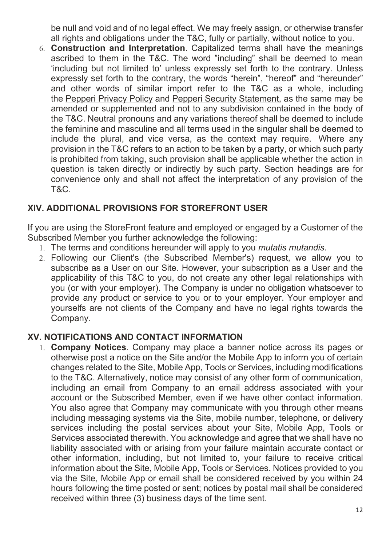be null and void and of no legal effect. We may freely assign, or otherwise transfer all rights and obligations under the T&C, fully or partially, without notice to you.

6. **Construction and Interpretation**. Capitalized terms shall have the meanings ascribed to them in the T&C. The word "including" shall be deemed to mean 'including but not limited to' unless expressly set forth to the contrary. Unless expressly set forth to the contrary, the words "herein", "hereof" and "hereunder" and other words of similar import refer to the T&C as a whole, including the Pepperi Privacy Policy and Pepperi Security Statement, as the same may be amended or supplemented and not to any subdivision contained in the body of the T&C. Neutral pronouns and any variations thereof shall be deemed to include the feminine and masculine and all terms used in the singular shall be deemed to include the plural, and vice versa, as the context may require. Where any provision in the T&C refers to an action to be taken by a party, or which such party is prohibited from taking, such provision shall be applicable whether the action in question is taken directly or indirectly by such party. Section headings are for convenience only and shall not affect the interpretation of any provision of the T&C.

## **XIV. ADDITIONAL PROVISIONS FOR STOREFRONT USER**

If you are using the StoreFront feature and employed or engaged by a Customer of the Subscribed Member you further acknowledge the following:

- 1. The terms and conditions hereunder will apply to you *mutatis mutandis*.
- 2. Following our Client's (the Subscribed Member's) request, we allow you to subscribe as a User on our Site. However, your subscription as a User and the applicability of this T&C to you, do not create any other legal relationships with you (or with your employer). The Company is under no obligation whatsoever to provide any product or service to you or to your employer. Your employer and yourselfs are not clients of the Company and have no legal rights towards the Company.

#### **XV. NOTIFICATIONS AND CONTACT INFORMATION**

1. **Company Notices**. Company may place a banner notice across its pages or otherwise post a notice on the Site and/or the Mobile App to inform you of certain changes related to the Site, Mobile App, Tools or Services, including modifications to the T&C. Alternatively, notice may consist of any other form of communication, including an email from Company to an email address associated with your account or the Subscribed Member, even if we have other contact information. You also agree that Company may communicate with you through other means including messaging systems via the Site, mobile number, telephone, or delivery services including the postal services about your Site, Mobile App, Tools or Services associated therewith. You acknowledge and agree that we shall have no liability associated with or arising from your failure maintain accurate contact or other information, including, but not limited to, your failure to receive critical information about the Site, Mobile App, Tools or Services. Notices provided to you via the Site, Mobile App or email shall be considered received by you within 24 hours following the time posted or sent; notices by postal mail shall be considered received within three (3) business days of the time sent.